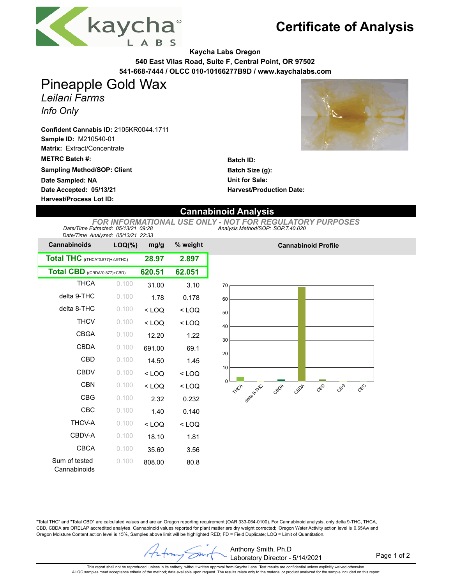

## **Certificate of Analysis**

**Kaycha Labs Oregon**

**540 East Vilas Road, Suite F, Central Point, OR 97502**

**541-668-7444 / OLCC 010-10166277B9D / www.kaychalabs.com**

Pineapple Gold Wax

*Leilani Farms*

*Info Only*

**Sample ID:** M210540-01 **Confident Cannabis ID:** 2105KR0044.1711

**Matrix:** Extract/Concentrate

**METRC Batch #:** 

**Sampling Method/SOP: Client**

**Date Accepted: 05/13/21 Harvest/Process Lot ID: Date Sampled: NA**

**Batch ID: Batch Size (g): Unit for Sale: Harvest/Production Date:** 

## **Cannabinoid Analysis**

*Analysis Method/SOP: SOP.T.40.020 FOR INFORMATIONAL USE ONLY - NOT FOR REGULATORY PURPOSES Date/Time Extracted: 05/13/21 09:28 Date/Time Analyzed: 05/13/21 22:33*

| Dale/Time Analyzed. 00/13/21 22.33                |           |         |          |
|---------------------------------------------------|-----------|---------|----------|
| <b>Cannabinoids</b>                               | $LOQ(\%)$ | mg/g    | % weight |
| <b>Total THC</b> ((THCA*0.877)+ $\triangle$ 9THC) | 28.97     | 2.897   |          |
| Total CBD ((CBDA*0.877)+CBD)                      | 620.51    | 62.051  |          |
| <b>THCA</b>                                       | 0.100     | 31.00   | 3.10     |
| delta 9-THC                                       | 0.100     | 1.78    | 0.178    |
| delta 8-THC                                       | 0.100     | $<$ LOQ | $<$ LOQ  |
| <b>THCV</b>                                       | 0.100     | $<$ LOQ | $<$ LOQ  |
| <b>CBGA</b>                                       | 0.100     | 12.20   | 1.22     |
| CBDA                                              | 0.100     | 691.00  | 69.1     |
| CBD                                               | 0.100     | 14.50   | 1.45     |
| <b>CBDV</b>                                       | 0.100     | $<$ LOQ | $<$ LOQ  |
| <b>CBN</b>                                        | 0.100     | $<$ LOQ | $<$ LOQ  |
| CBG                                               | 0.100     | 2.32    | 0.232    |
| CBC                                               | 0.100     | 1.40    | 0.140    |
| <b>THCV-A</b>                                     | 0.100     | $<$ LOQ | $<$ LOQ  |
| CBDV-A                                            | 0.100     | 18.10   | 1.81     |
| CBCA                                              | 0.100     | 35.60   | 3.56     |
| Sum of tested<br>Cannabinoids                     | 0.100     | 808.00  | 80.8     |



**Cannabinoid Profile**

"Total THC" and "Total CBD" are calculated values and are an Oregon reporting requirement (OAR 333-064-0100). For Cannabinoid analysis, only delta 9-THC, THCA, CBD, CBDA are ORELAP accredited analytes. Cannabinoid values reported for plant matter are dry weight corrected; Oregon Water Activity action level is 0.65Aw and Oregon Moisture Content action level is 15%, Samples above limit will be highlighted RED; FD = Field Duplicate; LOQ = Limit of Quantitation.

Anthony Smith, Ph.D Z Laboratory Director - 5/14/2021

Page 1 of 2

This report shall not be reproduced, unless in its entirety, without written approval from Kaycha Labs. Test results are confidential unless explicitly waived otherwise. All QC samples meet acceptance criteria of the method; data available upon request. The results relate only to the material or product analyzed for the sample included on this report.